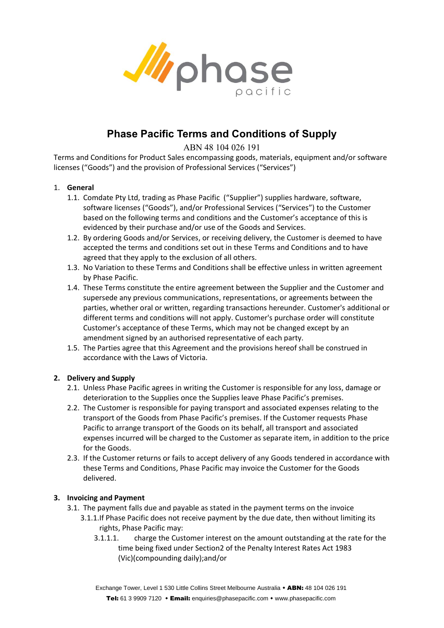

# **Phase Pacific Terms and Conditions of Supply**

ABN 48 104 026 191

Terms and Conditions for Product Sales encompassing goods, materials, equipment and/or software licenses ("Goods") and the provision of Professional Services ("Services")

# 1. **General**

- 1.1. Comdate Pty Ltd, trading as Phase Pacific ("Supplier") supplies hardware, software, software licenses ("Goods"), and/or Professional Services ("Services") to the Customer based on the following terms and conditions and the Customer's acceptance of this is evidenced by their purchase and/or use of the Goods and Services.
- 1.2. By ordering Goods and/or Services, or receiving delivery, the Customer is deemed to have accepted the terms and conditions set out in these Terms and Conditions and to have agreed that they apply to the exclusion of all others.
- 1.3. No Variation to these Terms and Conditions shall be effective unless in written agreement by Phase Pacific.
- 1.4. These Terms constitute the entire agreement between the Supplier and the Customer and supersede any previous communications, representations, or agreements between the parties, whether oral or written, regarding transactions hereunder. Customer's additional or different terms and conditions will not apply. Customer's purchase order will constitute Customer's acceptance of these Terms, which may not be changed except by an amendment signed by an authorised representative of each party.
- 1.5. The Parties agree that this Agreement and the provisions hereof shall be construed in accordance with the Laws of Victoria.

# **2. Delivery and Supply**

- 2.1. Unless Phase Pacific agrees in writing the Customer is responsible for any loss, damage or deterioration to the Supplies once the Supplies leave Phase Pacific's premises.
- 2.2. The Customer is responsible for paying transport and associated expenses relating to the transport of the Goods from Phase Pacific's premises. If the Customer requests Phase Pacific to arrange transport of the Goods on its behalf, all transport and associated expenses incurred will be charged to the Customer as separate item, in addition to the price for the Goods.
- 2.3. If the Customer returns or fails to accept delivery of any Goods tendered in accordance with these Terms and Conditions, Phase Pacific may invoice the Customer for the Goods delivered.

# **3. Invoicing and Payment**

- 3.1. The payment falls due and payable as stated in the payment terms on the invoice
	- 3.1.1.If Phase Pacific does not receive payment by the due date, then without limiting its rights, Phase Pacific may:
		- 3.1.1.1. charge the Customer interest on the amount outstanding at the rate for the time being fixed under Section2 of the Penalty Interest Rates Act 1983 (Vic)(compounding daily);and/or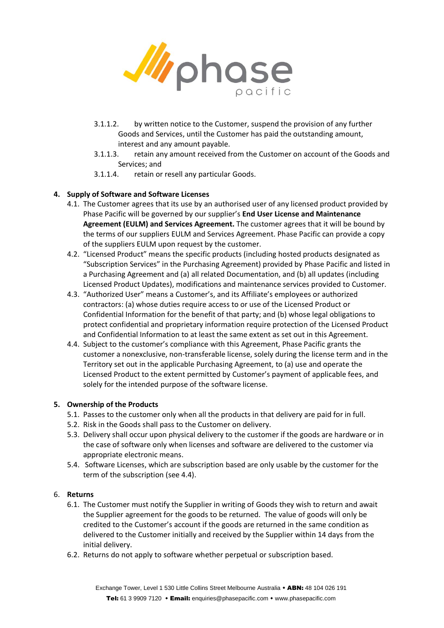

- 3.1.1.2. by written notice to the Customer, suspend the provision of any further Goods and Services, until the Customer has paid the outstanding amount, interest and any amount payable.
- 3.1.1.3. retain any amount received from the Customer on account of the Goods and Services; and
- 3.1.1.4. retain or resell any particular Goods.

# **4. Supply of Software and Software Licenses**

- 4.1. The Customer agrees that its use by an authorised user of any licensed product provided by Phase Pacific will be governed by our supplier's **End User License and Maintenance Agreement (EULM) and Services Agreement.** The customer agrees that it will be bound by the terms of our suppliers EULM and Services Agreement. Phase Pacific can provide a copy of the suppliers EULM upon request by the customer.
- 4.2. "Licensed Product" means the specific products (including hosted products designated as "Subscription Services" in the Purchasing Agreement) provided by Phase Pacific and listed in a Purchasing Agreement and (a) all related Documentation, and (b) all updates (including Licensed Product Updates), modifications and maintenance services provided to Customer.
- 4.3. "Authorized User" means a Customer's, and its Affiliate's employees or authorized contractors: (a) whose duties require access to or use of the Licensed Product or Confidential Information for the benefit of that party; and (b) whose legal obligations to protect confidential and proprietary information require protection of the Licensed Product and Confidential Information to at least the same extent as set out in this Agreement.
- 4.4. Subject to the customer's compliance with this Agreement, Phase Pacific grants the customer a nonexclusive, non-transferable license, solely during the license term and in the Territory set out in the applicable Purchasing Agreement, to (a) use and operate the Licensed Product to the extent permitted by Customer's payment of applicable fees, and solely for the intended purpose of the software license.

#### **5. Ownership of the Products**

- 5.1. Passes to the customer only when all the products in that delivery are paid for in full.
- 5.2. Risk in the Goods shall pass to the Customer on delivery.
- 5.3. Delivery shall occur upon physical delivery to the customer if the goods are hardware or in the case of software only when licenses and software are delivered to the customer via appropriate electronic means.
- 5.4. Software Licenses, which are subscription based are only usable by the customer for the term of the subscription (see 4.4).

#### 6. **Returns**

- 6.1. The Customer must notify the Supplier in writing of Goods they wish to return and await the Supplier agreement for the goods to be returned. The value of goods will only be credited to the Customer's account if the goods are returned in the same condition as delivered to the Customer initially and received by the Supplier within 14 days from the initial delivery.
- 6.2. Returns do not apply to software whether perpetual or subscription based.